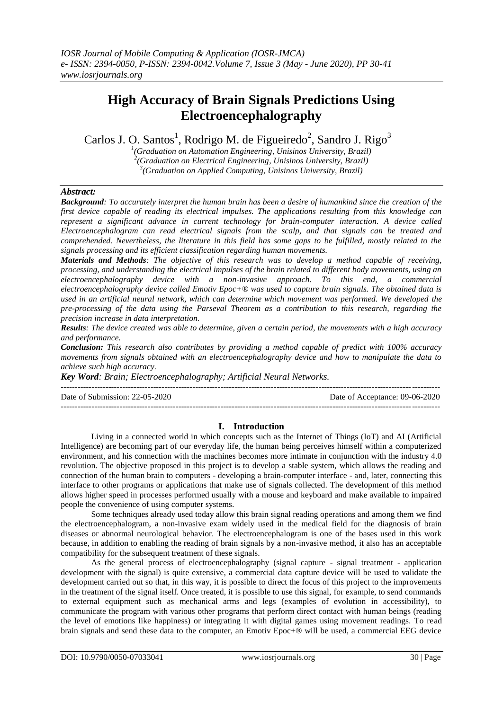# **High Accuracy of Brain Signals Predictions Using Electroencephalography**

Carlos J. O. Santos<sup>1</sup>, Rodrigo M. de Figueiredo<sup>2</sup>, Sandro J. Rigo<sup>3</sup>

*1 (Graduation on Automation Engineering, Unisinos University, Brazil) 2 (Graduation on Electrical Engineering, Unisinos University, Brazil)*

*3 (Graduation on Applied Computing, Unisinos University, Brazil)*

# *Abstract:*

*Background: To accurately interpret the human brain has been a desire of humankind since the creation of the first device capable of reading its electrical impulses. The applications resulting from this knowledge can represent a significant advance in current technology for brain-computer interaction. A device called Electroencephalogram can read electrical signals from the scalp, and that signals can be treated and comprehended. Nevertheless, the literature in this field has some gaps to be fulfilled, mostly related to the signals processing and its efficient classification regarding human movements.*

*Materials and Methods: The objective of this research was to develop a method capable of receiving, processing, and understanding the electrical impulses of the brain related to different body movements, using an electroencephalography device with a non-invasive approach. To this end, a commercial electroencephalography device called Emotiv Epoc+® was used to capture brain signals. The obtained data is used in an artificial neural network, which can determine which movement was performed. We developed the pre-processing of the data using the Parseval Theorem as a contribution to this research, regarding the precision increase in data interpretation.*

*Results: The device created was able to determine, given a certain period, the movements with a high accuracy and performance.*

*Conclusion: This research also contributes by providing a method capable of predict with 100% accuracy movements from signals obtained with an electroencephalography device and how to manipulate the data to achieve such high accuracy.*

*Key Word: Brain; Electroencephalography; Artificial Neural Networks.*

--------------------------------------------------------------------------------------------------------------------------------------- Date of Submission: 22-05-2020 Date of Acceptance: 09-06-2020  $-1\leq i\leq n-1$ 

# **I. Introduction**

Living in a connected world in which concepts such as the Internet of Things (IoT) and AI (Artificial Intelligence) are becoming part of our everyday life, the human being perceives himself within a computerized environment, and his connection with the machines becomes more intimate in conjunction with the industry 4.0 revolution. The objective proposed in this project is to develop a stable system, which allows the reading and connection of the human brain to computers - developing a brain-computer interface - and, later, connecting this interface to other programs or applications that make use of signals collected. The development of this method allows higher speed in processes performed usually with a mouse and keyboard and make available to impaired people the convenience of using computer systems.

Some techniques already used today allow this brain signal reading operations and among them we find the electroencephalogram, a non-invasive exam widely used in the medical field for the diagnosis of brain diseases or abnormal neurological behavior. The electroencephalogram is one of the bases used in this work because, in addition to enabling the reading of brain signals by a non-invasive method, it also has an acceptable compatibility for the subsequent treatment of these signals.

As the general process of electroencephalography (signal capture - signal treatment - application development with the signal) is quite extensive, a commercial data capture device will be used to validate the development carried out so that, in this way, it is possible to direct the focus of this project to the improvements in the treatment of the signal itself. Once treated, it is possible to use this signal, for example, to send commands to external equipment such as mechanical arms and legs (examples of evolution in accessibility), to communicate the program with various other programs that perform direct contact with human beings (reading the level of emotions like happiness) or integrating it with digital games using movement readings. To read brain signals and send these data to the computer, an Emotiv Epoc+® will be used, a commercial EEG device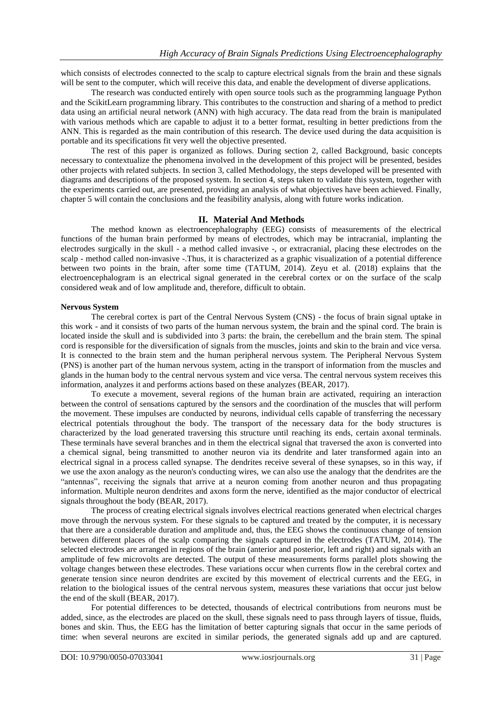which consists of electrodes connected to the scalp to capture electrical signals from the brain and these signals will be sent to the computer, which will receive this data, and enable the development of diverse applications.

The research was conducted entirely with open source tools such as the programming language Python and the ScikitLearn programming library. This contributes to the construction and sharing of a method to predict data using an artificial neural network (ANN) with high accuracy. The data read from the brain is manipulated with various methods which are capable to adjust it to a better format, resulting in better predictions from the ANN. This is regarded as the main contribution of this research. The device used during the data acquisition is portable and its specifications fit very well the objective presented.

The rest of this paper is organized as follows. During section 2, called Background, basic concepts necessary to contextualize the phenomena involved in the development of this project will be presented, besides other projects with related subjects. In section 3, called Methodology, the steps developed will be presented with diagrams and descriptions of the proposed system. In section 4, steps taken to validate this system, together with the experiments carried out, are presented, providing an analysis of what objectives have been achieved. Finally, chapter 5 will contain the conclusions and the feasibility analysis, along with future works indication.

## **II. Material And Methods**

The method known as electroencephalography (EEG) consists of measurements of the electrical functions of the human brain performed by means of electrodes, which may be intracranial, implanting the electrodes surgically in the skull - a method called invasive -, or extracranial, placing these electrodes on the scalp - method called non-invasive -.Thus, it is characterized as a graphic visualization of a potential difference between two points in the brain, after some time (TATUM, 2014). Zeyu et al. (2018) explains that the electroencephalogram is an electrical signal generated in the cerebral cortex or on the surface of the scalp considered weak and of low amplitude and, therefore, difficult to obtain.

#### **Nervous System**

The cerebral cortex is part of the Central Nervous System (CNS) - the focus of brain signal uptake in this work - and it consists of two parts of the human nervous system, the brain and the spinal cord. The brain is located inside the skull and is subdivided into 3 parts: the brain, the cerebellum and the brain stem. The spinal cord is responsible for the diversification of signals from the muscles, joints and skin to the brain and vice versa. It is connected to the brain stem and the human peripheral nervous system. The Peripheral Nervous System (PNS) is another part of the human nervous system, acting in the transport of information from the muscles and glands in the human body to the central nervous system and vice versa. The central nervous system receives this information, analyzes it and performs actions based on these analyzes (BEAR, 2017).

To execute a movement, several regions of the human brain are activated, requiring an interaction between the control of sensations captured by the sensors and the coordination of the muscles that will perform the movement. These impulses are conducted by neurons, individual cells capable of transferring the necessary electrical potentials throughout the body. The transport of the necessary data for the body structures is characterized by the load generated traversing this structure until reaching its ends, certain axonal terminals. These terminals have several branches and in them the electrical signal that traversed the axon is converted into a chemical signal, being transmitted to another neuron via its dendrite and later transformed again into an electrical signal in a process called synapse. The dendrites receive several of these synapses, so in this way, if we use the axon analogy as the neuron's conducting wires, we can also use the analogy that the dendrites are the "antennas", receiving the signals that arrive at a neuron coming from another neuron and thus propagating information. Multiple neuron dendrites and axons form the nerve, identified as the major conductor of electrical signals throughout the body (BEAR, 2017).

The process of creating electrical signals involves electrical reactions generated when electrical charges move through the nervous system. For these signals to be captured and treated by the computer, it is necessary that there are a considerable duration and amplitude and, thus, the EEG shows the continuous change of tension between different places of the scalp comparing the signals captured in the electrodes (TATUM, 2014). The selected electrodes are arranged in regions of the brain (anterior and posterior, left and right) and signals with an amplitude of few microvolts are detected. The output of these measurements forms parallel plots showing the voltage changes between these electrodes. These variations occur when currents flow in the cerebral cortex and generate tension since neuron dendrites are excited by this movement of electrical currents and the EEG, in relation to the biological issues of the central nervous system, measures these variations that occur just below the end of the skull (BEAR, 2017).

For potential differences to be detected, thousands of electrical contributions from neurons must be added, since, as the electrodes are placed on the skull, these signals need to pass through layers of tissue, fluids, bones and skin. Thus, the EEG has the limitation of better capturing signals that occur in the same periods of time: when several neurons are excited in similar periods, the generated signals add up and are captured.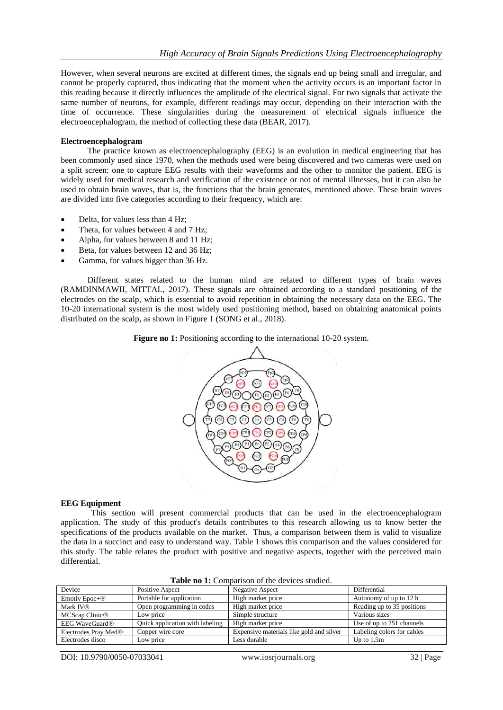However, when several neurons are excited at different times, the signals end up being small and irregular, and cannot be properly captured, thus indicating that the moment when the activity occurs is an important factor in this reading because it directly influences the amplitude of the electrical signal. For two signals that activate the same number of neurons, for example, different readings may occur, depending on their interaction with the time of occurrence. These singularities during the measurement of electrical signals influence the electroencephalogram, the method of collecting these data (BEAR, 2017).

## **Electroencephalogram**

The practice known as electroencephalography (EEG) is an evolution in medical engineering that has been commonly used since 1970, when the methods used were being discovered and two cameras were used on a split screen: one to capture EEG results with their waveforms and the other to monitor the patient. EEG is widely used for medical research and verification of the existence or not of mental illnesses, but it can also be used to obtain brain waves, that is, the functions that the brain generates, mentioned above. These brain waves are divided into five categories according to their frequency, which are:

- Delta, for values less than 4 Hz;
- Theta, for values between 4 and 7 Hz;
- Alpha, for values between 8 and 11 Hz;
- Beta, for values between 12 and 36 Hz;
- Gamma, for values bigger than 36 Hz.

Different states related to the human mind are related to different types of brain waves (RAMDINMAWII, MITTAL, 2017). These signals are obtained according to a standard positioning of the electrodes on the scalp, which is essential to avoid repetition in obtaining the necessary data on the EEG. The 10-20 international system is the most widely used positioning method, based on obtaining anatomical points distributed on the scalp, as shown in Figure 1 (SONG et al., 2018).

**Figure no 1:** Positioning according to the international 10-20 system.



#### **EEG Equipment**

This section will present commercial products that can be used in the electroencephalogram application. The study of this product's details contributes to this research allowing us to know better the specifications of the products available on the market. Thus, a comparison between them is valid to visualize the data in a succinct and easy to understand way. Table 1 shows this comparison and the values considered for this study. The table relates the product with positive and negative aspects, together with the perceived main differential.

| Device                           | Positive Aspect                 | Negative Aspect                          | Differential               |
|----------------------------------|---------------------------------|------------------------------------------|----------------------------|
| Emotiv Epoc+ <sup>®</sup>        | Portable for application        | High market price                        | Autonomy of up to 12 h     |
| Mark IV <sup>®</sup>             | Open programming in codes       | High market price                        | Reading up to 35 positions |
| MCScap Clinic <sup>®</sup>       | Low price                       | Simple structure                         | Various sizes              |
| EEG WaveGuard <sup>®</sup>       | Quick application with labeling | High market price                        | Use of up to 251 channels  |
| Electrodes Pray Med <sup>®</sup> | Copper wire core                | Expensive materials like gold and silver | Labeling colors for cables |
| Electrodes disco                 | Low price                       | Less durable                             | Up to $1.5m$               |
|                                  |                                 |                                          |                            |

**Table no 1:** Comparison of the devices studied.

DOI: 10.9790/0050-07033041 www.iosrjournals.org 32 | Page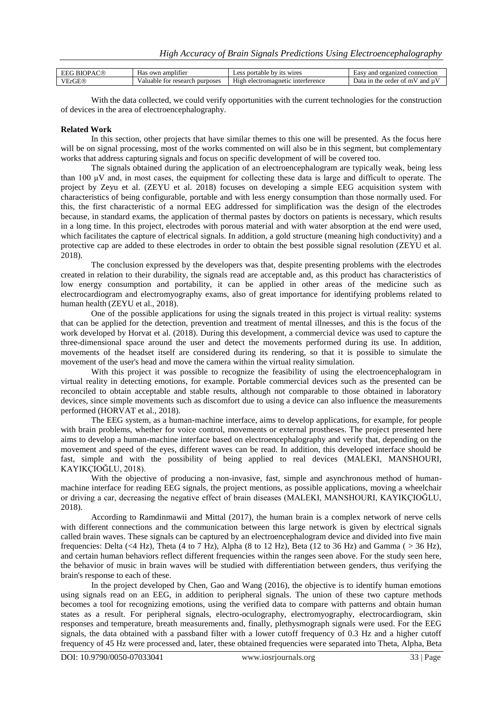| C®<br>RК<br>$P \Delta$ | own<br>. amplifier<br>Has                  | wires<br>portable<br>Less<br>'n٦.<br>1ts       | organized<br>and<br>Easy<br>connection<br>. OF |
|------------------------|--------------------------------------------|------------------------------------------------|------------------------------------------------|
| /ErGE®<br>$\mathbf{r}$ | purposes<br>Valuable<br>: research<br>TOT. | High<br>interference<br>ele<br>.omag<br>21 I C | and µ<br>Data 1<br>order of mV<br>1n<br>the    |

With the data collected, we could verify opportunities with the current technologies for the construction of devices in the area of electroencephalography.

#### **Related Work**

In this section, other projects that have similar themes to this one will be presented. As the focus here will be on signal processing, most of the works commented on will also be in this segment, but complementary works that address capturing signals and focus on specific development of will be covered too.

The signals obtained during the application of an electroencephalogram are typically weak, being less than 100 μV and, in most cases, the equipment for collecting these data is large and difficult to operate. The project by Zeyu et al. (ZEYU et al. 2018) focuses on developing a simple EEG acquisition system with characteristics of being configurable, portable and with less energy consumption than those normally used. For this, the first characteristic of a normal EEG addressed for simplification was the design of the electrodes because, in standard exams, the application of thermal pastes by doctors on patients is necessary, which results in a long time. In this project, electrodes with porous material and with water absorption at the end were used, which facilitates the capture of electrical signals. In addition, a gold structure (meaning high conductivity) and a protective cap are added to these electrodes in order to obtain the best possible signal resolution (ZEYU et al. 2018).

The conclusion expressed by the developers was that, despite presenting problems with the electrodes created in relation to their durability, the signals read are acceptable and, as this product has characteristics of low energy consumption and portability, it can be applied in other areas of the medicine such as electrocardiogram and electromyography exams, also of great importance for identifying problems related to human health (ZEYU et al., 2018).

One of the possible applications for using the signals treated in this project is virtual reality: systems that can be applied for the detection, prevention and treatment of mental illnesses, and this is the focus of the work developed by Horvat et al. (2018). During this development, a commercial device was used to capture the three-dimensional space around the user and detect the movements performed during its use. In addition, movements of the headset itself are considered during its rendering, so that it is possible to simulate the movement of the user's head and move the camera within the virtual reality simulation.

With this project it was possible to recognize the feasibility of using the electroencephalogram in virtual reality in detecting emotions, for example. Portable commercial devices such as the presented can be reconciled to obtain acceptable and stable results, although not comparable to those obtained in laboratory devices, since simple movements such as discomfort due to using a device can also influence the measurements performed (HORVAT et al., 2018).

The EEG system, as a human-machine interface, aims to develop applications, for example, for people with brain problems, whether for voice control, movements or external prostheses. The project presented here aims to develop a human-machine interface based on electroencephalography and verify that, depending on the movement and speed of the eyes, different waves can be read. In addition, this developed interface should be fast, simple and with the possibility of being applied to real devices (MALEKI, MANSHOURI, KAYIKÇIOĞLU, 2018).

With the objective of producing a non-invasive, fast, simple and asynchronous method of humanmachine interface for reading EEG signals, the project mentions, as possible applications, moving a wheelchair or driving a car, decreasing the negative effect of brain diseases (MALEKI, MANSHOURI, KAYIKÇIOĞLU, 2018).

According to Ramdinmawii and Mittal (2017), the human brain is a complex network of nerve cells with different connections and the communication between this large network is given by electrical signals called brain waves. These signals can be captured by an electroencephalogram device and divided into five main frequencies: Delta (<4 Hz), Theta (4 to 7 Hz), Alpha (8 to 12 Hz), Beta (12 to 36 Hz) and Gamma ( $>$  36 Hz), and certain human behaviors reflect different frequencies within the ranges seen above. For the study seen here, the behavior of music in brain waves will be studied with differentiation between genders, thus verifying the brain's response to each of these.

In the project developed by Chen, Gao and Wang (2016), the objective is to identify human emotions using signals read on an EEG, in addition to peripheral signals. The union of these two capture methods becomes a tool for recognizing emotions, using the verified data to compare with patterns and obtain human states as a result. For peripheral signals, electro-oculography, electromyography, electrocardiogram, skin responses and temperature, breath measurements and, finally, plethysmograph signals were used. For the EEG signals, the data obtained with a passband filter with a lower cutoff frequency of 0.3 Hz and a higher cutoff frequency of 45 Hz were processed and, later, these obtained frequencies were separated into Theta, Alpha, Beta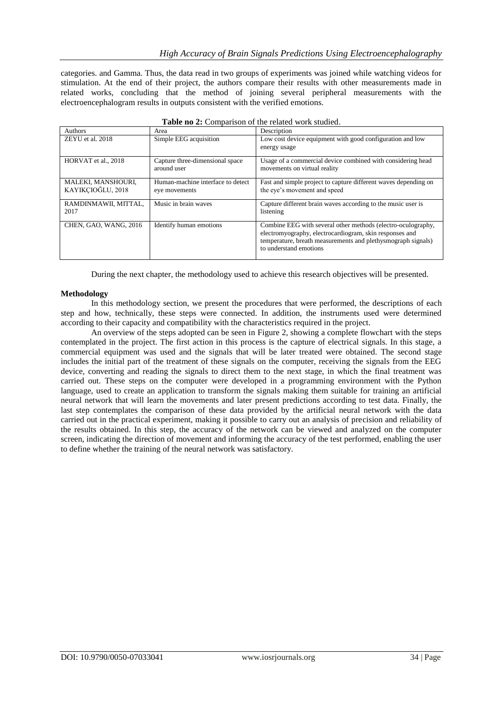categories. and Gamma. Thus, the data read in two groups of experiments was joined while watching videos for stimulation. At the end of their project, the authors compare their results with other measurements made in related works, concluding that the method of joining several peripheral measurements with the electroencephalogram results in outputs consistent with the verified emotions.

| Authors                                 | Area                                               | Description                                                                                                                                                                                                       |
|-----------------------------------------|----------------------------------------------------|-------------------------------------------------------------------------------------------------------------------------------------------------------------------------------------------------------------------|
| ZEYU et al. 2018                        | Simple EEG acquisition                             | Low cost device equipment with good configuration and low                                                                                                                                                         |
|                                         |                                                    | energy usage                                                                                                                                                                                                      |
| HORVAT et al., 2018                     | Capture three-dimensional space<br>around user     | Usage of a commercial device combined with considering head<br>movements on virtual reality                                                                                                                       |
| MALEKI, MANSHOURI,<br>KAYIKCIOĞLU, 2018 | Human-machine interface to detect<br>eye movements | Fast and simple project to capture different waves depending on<br>the eye's movement and speed                                                                                                                   |
| RAMDINMAWII, MITTAL,<br>2017            | Music in brain waves                               | Capture different brain waves according to the music user is<br>listening                                                                                                                                         |
| CHEN, GAO, WANG, 2016                   | Identify human emotions                            | Combine EEG with several other methods (electro-oculography,<br>electromyography, electrocardiogram, skin responses and<br>temperature, breath measurements and plethysmograph signals)<br>to understand emotions |

**Table no 2:** Comparison of the related work studied.

During the next chapter, the methodology used to achieve this research objectives will be presented.

#### **Methodology**

In this methodology section, we present the procedures that were performed, the descriptions of each step and how, technically, these steps were connected. In addition, the instruments used were determined according to their capacity and compatibility with the characteristics required in the project.

An overview of the steps adopted can be seen in Figure 2, showing a complete flowchart with the steps contemplated in the project. The first action in this process is the capture of electrical signals. In this stage, a commercial equipment was used and the signals that will be later treated were obtained. The second stage includes the initial part of the treatment of these signals on the computer, receiving the signals from the EEG device, converting and reading the signals to direct them to the next stage, in which the final treatment was carried out. These steps on the computer were developed in a programming environment with the Python language, used to create an application to transform the signals making them suitable for training an artificial neural network that will learn the movements and later present predictions according to test data. Finally, the last step contemplates the comparison of these data provided by the artificial neural network with the data carried out in the practical experiment, making it possible to carry out an analysis of precision and reliability of the results obtained. In this step, the accuracy of the network can be viewed and analyzed on the computer screen, indicating the direction of movement and informing the accuracy of the test performed, enabling the user to define whether the training of the neural network was satisfactory.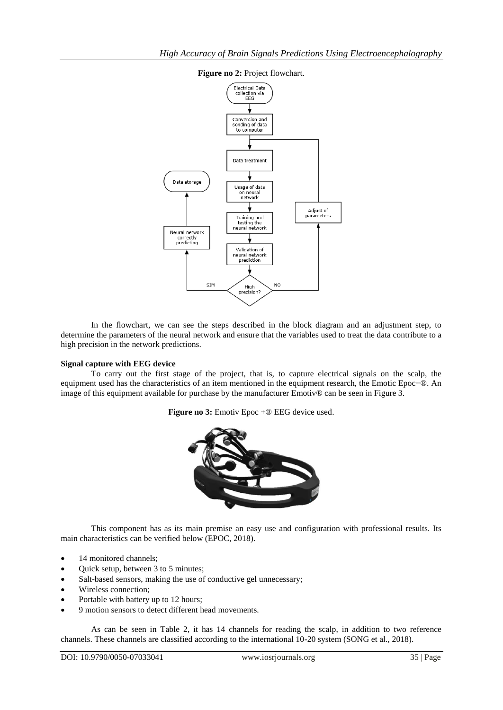

## **Figure no 2:** Project flowchart.

In the flowchart, we can see the steps described in the block diagram and an adjustment step, to determine the parameters of the neural network and ensure that the variables used to treat the data contribute to a high precision in the network predictions.

#### **Signal capture with EEG device**

To carry out the first stage of the project, that is, to capture electrical signals on the scalp, the equipment used has the characteristics of an item mentioned in the equipment research, the Emotic Epoc+®. An image of this equipment available for purchase by the manufacturer Emotiv<sup>®</sup> can be seen in Figure 3.

**Figure no 3:** Emotiv Epoc +® EEG device used.



This component has as its main premise an easy use and configuration with professional results. Its main characteristics can be verified below (EPOC, 2018).

- 14 monitored channels;
- Quick setup, between 3 to 5 minutes;
- Salt-based sensors, making the use of conductive gel unnecessary;
- Wireless connection;
- Portable with battery up to 12 hours;
- 9 motion sensors to detect different head movements.

As can be seen in Table 2, it has 14 channels for reading the scalp, in addition to two reference channels. These channels are classified according to the international 10-20 system (SONG et al., 2018).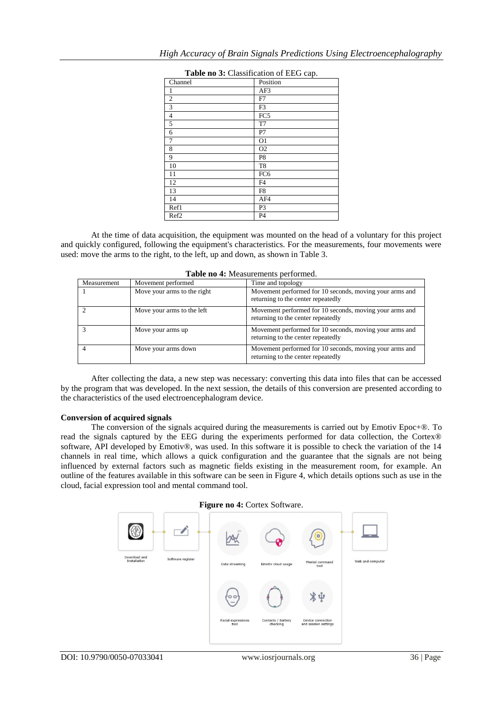| Table no 3: Classification of EEG cap. |                 |  |  |  |  |  |
|----------------------------------------|-----------------|--|--|--|--|--|
| Channel                                | Position        |  |  |  |  |  |
| 1                                      | AF3             |  |  |  |  |  |
| $\overline{2}$                         | F7              |  |  |  |  |  |
| 3                                      | F3              |  |  |  |  |  |
| 4                                      | FC5             |  |  |  |  |  |
| 5                                      | T7              |  |  |  |  |  |
| 6                                      | P7              |  |  |  |  |  |
| 7                                      | O <sub>1</sub>  |  |  |  |  |  |
| 8                                      | O <sub>2</sub>  |  |  |  |  |  |
| 9                                      | P8              |  |  |  |  |  |
| 10                                     | T <sub>8</sub>  |  |  |  |  |  |
| 11                                     | FC <sub>6</sub> |  |  |  |  |  |
| 12                                     | F4              |  |  |  |  |  |
| 13                                     | F8              |  |  |  |  |  |
| 14                                     | AF4             |  |  |  |  |  |
| Ref1                                   | P3              |  |  |  |  |  |
| Ref <sub>2</sub>                       | P <sub>4</sub>  |  |  |  |  |  |

At the time of data acquisition, the equipment was mounted on the head of a voluntary for this project and quickly configured, following the equipment's characteristics. For the measurements, four movements were used: move the arms to the right, to the left, up and down, as shown in Table 3.

| Table no 4: Measurements performed. |
|-------------------------------------|
|-------------------------------------|

| Measurement | Movement performed          | Time and topology                                                                             |
|-------------|-----------------------------|-----------------------------------------------------------------------------------------------|
|             | Move your arms to the right | Movement performed for 10 seconds, moving your arms and<br>returning to the center repeatedly |
|             | Move your arms to the left  | Movement performed for 10 seconds, moving your arms and<br>returning to the center repeatedly |
|             | Move your arms up           | Movement performed for 10 seconds, moving your arms and<br>returning to the center repeatedly |
|             | Move your arms down         | Movement performed for 10 seconds, moving your arms and<br>returning to the center repeatedly |

After collecting the data, a new step was necessary: converting this data into files that can be accessed by the program that was developed. In the next session, the details of this conversion are presented according to the characteristics of the used electroencephalogram device.

#### **Conversion of acquired signals**

The conversion of the signals acquired during the measurements is carried out by Emotiv Epoc+®. To read the signals captured by the EEG during the experiments performed for data collection, the Cortex® software, API developed by Emotiv®, was used. In this software it is possible to check the variation of the 14 channels in real time, which allows a quick configuration and the guarantee that the signals are not being influenced by external factors such as magnetic fields existing in the measurement room, for example. An outline of the features available in this software can be seen in Figure 4, which details options such as use in the cloud, facial expression tool and mental command tool.

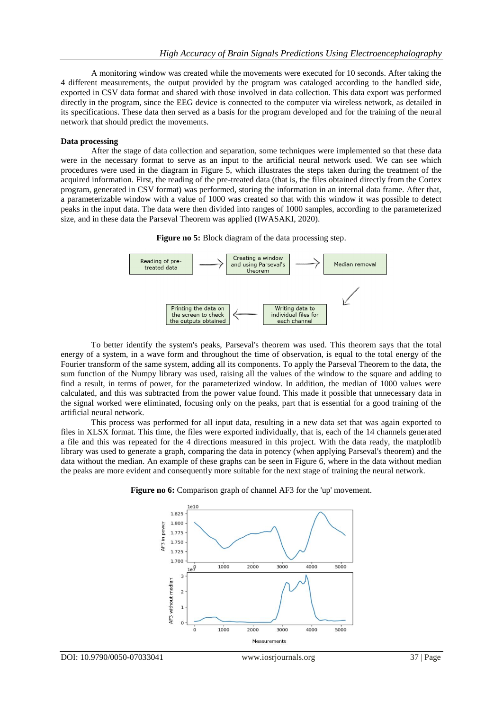A monitoring window was created while the movements were executed for 10 seconds. After taking the 4 different measurements, the output provided by the program was cataloged according to the handled side, exported in CSV data format and shared with those involved in data collection. This data export was performed directly in the program, since the EEG device is connected to the computer via wireless network, as detailed in its specifications. These data then served as a basis for the program developed and for the training of the neural network that should predict the movements.

#### **Data processing**

After the stage of data collection and separation, some techniques were implemented so that these data were in the necessary format to serve as an input to the artificial neural network used. We can see which procedures were used in the diagram in Figure 5, which illustrates the steps taken during the treatment of the acquired information. First, the reading of the pre-treated data (that is, the files obtained directly from the Cortex program, generated in CSV format) was performed, storing the information in an internal data frame. After that, a parameterizable window with a value of 1000 was created so that with this window it was possible to detect peaks in the input data. The data were then divided into ranges of 1000 samples, according to the parameterized size, and in these data the Parseval Theorem was applied (IWASAKI, 2020).

**Figure no 5:** Block diagram of the data processing step.



To better identify the system's peaks, Parseval's theorem was used. This theorem says that the total energy of a system, in a wave form and throughout the time of observation, is equal to the total energy of the Fourier transform of the same system, adding all its components. To apply the Parseval Theorem to the data, the sum function of the Numpy library was used, raising all the values of the window to the square and adding to find a result, in terms of power, for the parameterized window. In addition, the median of 1000 values were calculated, and this was subtracted from the power value found. This made it possible that unnecessary data in the signal worked were eliminated, focusing only on the peaks, part that is essential for a good training of the artificial neural network.

This process was performed for all input data, resulting in a new data set that was again exported to files in XLSX format. This time, the files were exported individually, that is, each of the 14 channels generated a file and this was repeated for the 4 directions measured in this project. With the data ready, the matplotlib library was used to generate a graph, comparing the data in potency (when applying Parseval's theorem) and the data without the median. An example of these graphs can be seen in Figure 6, where in the data without median the peaks are more evident and consequently more suitable for the next stage of training the neural network.



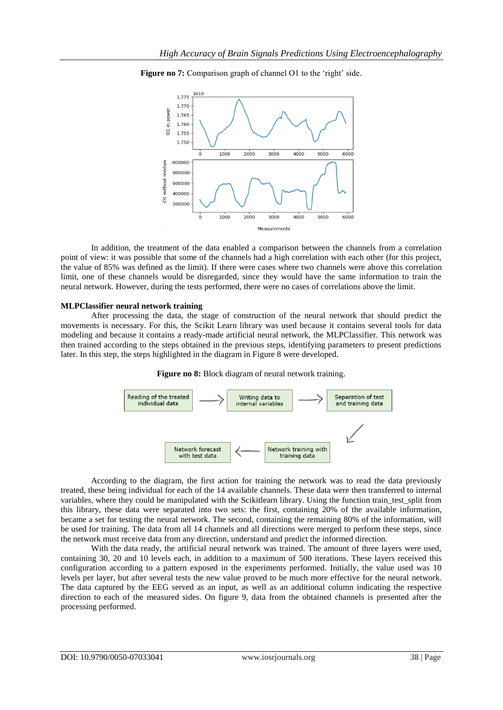

**Figure no 7:** Comparison graph of channel O1 to the 'right' side.

In addition, the treatment of the data enabled a comparison between the channels from a correlation point of view: it was possible that some of the channels had a high correlation with each other (for this project, the value of 85% was defined as the limit). If there were cases where two channels were above this correlation limit, one of these channels would be disregarded, since they would have the same information to train the neural network. However, during the tests performed, there were no cases of correlations above the limit.

#### **MLPClassifier neural network training**

After processing the data, the stage of construction of the neural network that should predict the movements is necessary. For this, the Scikit Learn library was used because it contains several tools for data modeling and because it contains a ready-made artificial neural network, the MLPClassifier. This network was then trained according to the steps obtained in the previous steps, identifying parameters to present predictions later. In this step, the steps highlighted in the diagram in Figure 8 were developed.





According to the diagram, the first action for training the network was to read the data previously treated, these being individual for each of the 14 available channels. These data were then transferred to internal variables, where they could be manipulated with the Scikitlearn library. Using the function train\_test\_split from this library, these data were separated into two sets: the first, containing 20% of the available information, became a set for testing the neural network. The second, containing the remaining 80% of the information, will be used for training. The data from all 14 channels and all directions were merged to perform these steps, since the network must receive data from any direction, understand and predict the informed direction.

With the data ready, the artificial neural network was trained. The amount of three layers were used, containing 30, 20 and 10 levels each, in addition to a maximum of 500 iterations. These layers received this configuration according to a pattern exposed in the experiments performed. Initially, the value used was 10 levels per layer, but after several tests the new value proved to be much more effective for the neural network. The data captured by the EEG served as an input, as well as an additional column indicating the respective direction to each of the measured sides. On figure 9, data from the obtained channels is presented after the processing performed.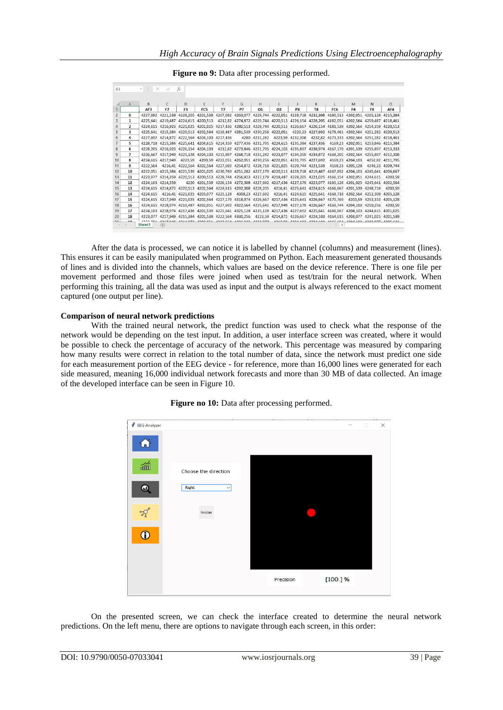| A1             |                | $-1$     | $X \vee$               | fx             |                                                                                                                               |    |                         |    |                                                                                          |    |                |                                                         |                                    |                           |                  |
|----------------|----------------|----------|------------------------|----------------|-------------------------------------------------------------------------------------------------------------------------------|----|-------------------------|----|------------------------------------------------------------------------------------------|----|----------------|---------------------------------------------------------|------------------------------------|---------------------------|------------------|
|                |                |          |                        |                |                                                                                                                               |    |                         |    |                                                                                          |    |                |                                                         |                                    |                           |                  |
|                | $\mathsf{A}$   | B        | C                      | D              | Ε                                                                                                                             | F  | G                       | н  |                                                                                          |    | K              |                                                         | M                                  | N                         | $\circ$          |
|                |                | AF3      | F7                     | F <sub>3</sub> | FC <sub>5</sub>                                                                                                               | T7 | P7                      | 01 | 02                                                                                       | P8 | T <sub>8</sub> | FC6                                                     | F <sub>4</sub>                     | F <sub>8</sub>            | AF4              |
| $\overline{c}$ | $\mathbf{o}$   |          |                        |                | 4227,692 4221,539 4228,205 4201,539 4207,692 4263,077 4229,744 4222,051 4228,718 4232,308 4180,513 4202,051 4265,128 4215,384 |    |                         |    |                                                                                          |    |                |                                                         |                                    |                           |                  |
| 3              | 1              |          |                        |                | 4225,641 4219,487 4224,615 4200,513                                                                                           |    |                         |    | 4212,82 4274,872 4229,744 4220,513 4226,154 4228,205 4182,051 4202,564 4259,487 4218,461 |    |                |                                                         |                                    |                           |                  |
|                | $\overline{2}$ |          |                        |                | 4224,615 4216,923 4221,025 4201,025 4217,436 4280,513 4229,744 4220,513 4226,667 4226,154 4181,539 4202,564 4254,359 4220,513 |    |                         |    |                                                                                          |    |                |                                                         |                                    |                           |                  |
| 5              | 3              |          |                        |                | 4225,641 4215,384 4220,513 4202,564 4219,487 4281,539 4230,256 4222,051 4229,23 4227,692 4178,461 4202,564 4251,282 4220,513  |    |                         |    |                                                                                          |    |                |                                                         |                                    |                           |                  |
| 6              | 4              |          |                        |                | 4227.692 4214.872 4222.564 4204.103 4217.436                                                                                  |    |                         |    | 4280 4231 282 4223 59 4232 308 4232 82 4173 333 4202 564 4251 282 4218 461               |    |                |                                                         |                                    |                           |                  |
|                | 5              |          |                        |                | 4228,718 4215,384 4225,641 4204,615 4214,359 4277,436 4231,795 4224,615 4235,384 4237,436                                     |    |                         |    |                                                                                          |    |                |                                                         | 4169,23 4202,051 4253,846 4215,384 |                           |                  |
| 8              | 6              |          |                        |                | 4228,205 4216,923 4226,154 4204,103 4212,82 4273,846 4231,795 4224,103 4235,897 4238,974 4167,179 4201,539 4255,897 4213,333  |    |                         |    |                                                                                          |    |                |                                                         |                                    |                           |                  |
| 9              | $\overline{7}$ |          |                        |                | 4226,667 4217,949 4225,128 4204,103 4215,897 4268,718 4231,282 4223,077 4234,359 4234,872 4168,205 4202,564 4255,897 4212,308 |    |                         |    |                                                                                          |    |                |                                                         |                                    |                           |                  |
| 10             | 8              |          |                        |                | 4224,615 4217,949 4223,59 4203,59 4222,051 4262,051 4230,256 4222,051 4231,795 4227,692                                       |    |                         |    |                                                                                          |    |                |                                                         | 4169,23 4204,103                   |                           | 4252,82 4211,795 |
| 11             | 9              |          |                        |                | 4222,564 4216,41 4222,564 4202,564 4227,692 4254,872 4228,718 4221,025 4229,744 4221,539 4169,23 4205,128                     |    |                         |    |                                                                                          |    |                |                                                         |                                    |                           | 4249,23 4209,744 |
| 12             | 10             |          |                        |                | 4222,051 4215,384 4221,539 4201,025 4230,769 4251,282 4227,179 4220,513 4228,718 4219,487 4167,692 4204,103 4245,641 4206,667 |    |                         |    |                                                                                          |    |                |                                                         |                                    |                           |                  |
| 13             | 11             |          |                        |                | 4223,077 4214,359 4220,513 4200,513 4229,744 4256,923 4227,179 4219,487 4228,205 4221,025 4166,154 4202,051 4244,615          |    |                         |    |                                                                                          |    |                |                                                         |                                    |                           | 4203.59          |
| 14             | 12             |          | 4224.103 4214.359      |                | 4220 4201,539 4226,154 4272,308 4227,692 4217,436 4227,179 4223,077 4165,128 4201,025 4245,641 4202,564                       |    |                         |    |                                                                                          |    |                |                                                         |                                    |                           |                  |
| 15             | 13             |          |                        |                | 4224,615 4214,872 4220,513 4202,564 4224,615 4292,308 4228,205 4216,41 4225,641 4224,615 4166,667 4201,539 4248,718           |    |                         |    |                                                                                          |    |                |                                                         |                                    |                           | 4203,59          |
| 16             | 14             | 4224.615 |                        |                | 4216,41 4221,025 4203,077 4225,128                                                                                            |    |                         |    | 4309,23 4227,692 4216,41 4224,615 4225,641 4168,718 4202,564 4252,308 4205,128           |    |                |                                                         |                                    |                           |                  |
| 17             | 15             |          |                        |                | 4224,615 4217,949 4221,025 4202,564 4227,179 4318,974 4226,667 4217,436 4225,641 4226,667 4170,769                            |    |                         |    |                                                                                          |    |                |                                                         |                                    | 4203.59 4253.333 4205.128 |                  |
| 18             | 16             |          |                        |                | 4224,615 4218,974 4219,487 4202,051 4227,692 4322,564 4225,641 4217,949 4227,179 4226,667 4169,744 4204,103 4250,256          |    |                         |    |                                                                                          |    |                |                                                         |                                    |                           | 4203.59          |
| 19             | 17             |          |                        |                | 4224,103 4218,974 4217,436 4201,539 4225,641 4325,128 4225,128 4217,436 4227,692 4225,641 4166,667 4204,103 4244,615 4201,025 |    |                         |    |                                                                                          |    |                |                                                         |                                    |                           |                  |
| 20             | 18             |          |                        |                | 4223,077 4217,949 4215,384 4201,539 4222,564 4330,256 4223,59 4214,872 4226,667 4224,103 4164,615 4203,077 4241,025 4201,539  |    |                         |    |                                                                                          |    |                |                                                         |                                    |                           |                  |
| $n +$          | $\mathbf{A}$   | Sheet1   | <b>ABATAA</b><br>$(+)$ |                |                                                                                                                               |    | ASSA FEAL ASSA ASSA ATT |    | 12120                                                                                    |    |                | FEO CACA COARDO RICE AND COARDO COARDO<br>$\rightarrow$ |                                    |                           |                  |

**Figure no 9:** Data after processing performed.

After the data is processed, we can notice it is labelled by channel (columns) and measurement (lines). This ensures it can be easily manipulated when programmed on Python. Each measurement generated thousands of lines and is divided into the channels, which values are based on the device reference. There is one file per movement performed and those files were joined when used as test/train for the neural network. When performing this training, all the data was used as input and the output is always referenced to the exact moment captured (one output per line).

## **Comparison of neural network predictions**

With the trained neural network, the predict function was used to check what the response of the network would be depending on the test input. In addition, a user interface screen was created, where it would be possible to check the percentage of accuracy of the network. This percentage was measured by comparing how many results were correct in relation to the total number of data, since the network must predict one side for each measurement portion of the EEG device - for reference, more than 16,000 lines were generated for each side measured, meaning 16,000 individual network forecasts and more than 30 MB of data collected. An image of the developed interface can be seen in Figure 10.



#### Figure no 10: Data after processing performed.

On the presented screen, we can check the interface created to determine the neural network predictions. On the left menu, there are options to navigate through each screen, in this order: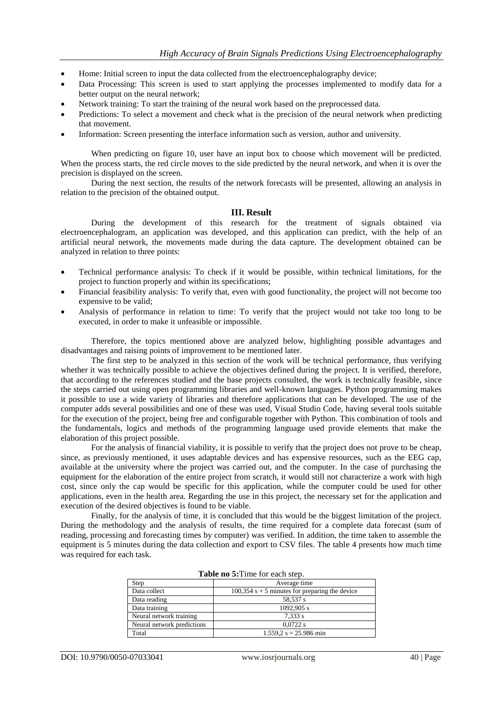- Home: Initial screen to input the data collected from the electroencephalography device;
- Data Processing: This screen is used to start applying the processes implemented to modify data for a better output on the neural network;
- Network training: To start the training of the neural work based on the preprocessed data.
- Predictions: To select a movement and check what is the precision of the neural network when predicting that movement.
- Information: Screen presenting the interface information such as version, author and university.

When predicting on figure 10, user have an input box to choose which movement will be predicted. When the process starts, the red circle moves to the side predicted by the neural network, and when it is over the precision is displayed on the screen.

During the next section, the results of the network forecasts will be presented, allowing an analysis in relation to the precision of the obtained output.

## **III. Result**

During the development of this research for the treatment of signals obtained via electroencephalogram, an application was developed, and this application can predict, with the help of an artificial neural network, the movements made during the data capture. The development obtained can be analyzed in relation to three points:

- Technical performance analysis: To check if it would be possible, within technical limitations, for the project to function properly and within its specifications;
- Financial feasibility analysis: To verify that, even with good functionality, the project will not become too expensive to be valid;
- Analysis of performance in relation to time: To verify that the project would not take too long to be executed, in order to make it unfeasible or impossible.

Therefore, the topics mentioned above are analyzed below, highlighting possible advantages and disadvantages and raising points of improvement to be mentioned later.

The first step to be analyzed in this section of the work will be technical performance, thus verifying whether it was technically possible to achieve the objectives defined during the project. It is verified, therefore, that according to the references studied and the base projects consulted, the work is technically feasible, since the steps carried out using open programming libraries and well-known languages. Python programming makes it possible to use a wide variety of libraries and therefore applications that can be developed. The use of the computer adds several possibilities and one of these was used, Visual Studio Code, having several tools suitable for the execution of the project, being free and configurable together with Python. This combination of tools and the fundamentals, logics and methods of the programming language used provide elements that make the elaboration of this project possible.

For the analysis of financial viability, it is possible to verify that the project does not prove to be cheap, since, as previously mentioned, it uses adaptable devices and has expensive resources, such as the EEG cap, available at the university where the project was carried out, and the computer. In the case of purchasing the equipment for the elaboration of the entire project from scratch, it would still not characterize a work with high cost, since only the cap would be specific for this application, while the computer could be used for other applications, even in the health area. Regarding the use in this project, the necessary set for the application and execution of the desired objectives is found to be viable.

Finally, for the analysis of time, it is concluded that this would be the biggest limitation of the project. During the methodology and the analysis of results, the time required for a complete data forecast (sum of reading, processing and forecasting times by computer) was verified. In addition, the time taken to assemble the equipment is 5 minutes during the data collection and export to CSV files. The table 4 presents how much time was required for each task.

| TWO IIO OF THIS TOT CACH SLOD. |                                                  |  |  |  |  |
|--------------------------------|--------------------------------------------------|--|--|--|--|
| Step                           | Average time                                     |  |  |  |  |
| Data collect                   | $100,354$ s + 5 minutes for preparing the device |  |  |  |  |
| Data reading                   | 58,537 s                                         |  |  |  |  |
| Data training                  | $1092,905$ s                                     |  |  |  |  |
| Neural network training        | 7,333 s                                          |  |  |  |  |
| Neural network predictions     | $0.0722$ s                                       |  |  |  |  |
| Total                          | $1.559.2$ s = 25.986 min                         |  |  |  |  |

|  | Table no 5: Time for each step. |  |  |  |  |  |
|--|---------------------------------|--|--|--|--|--|
|--|---------------------------------|--|--|--|--|--|